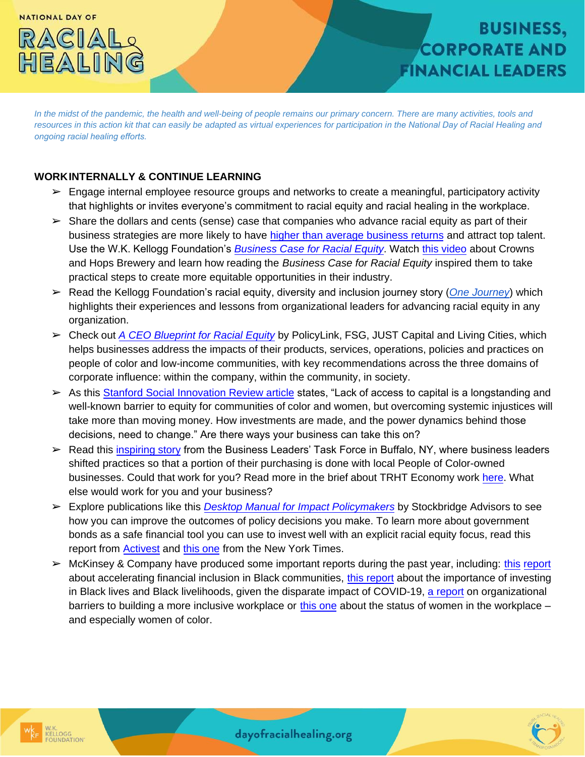# RACIAL EALIR

# **BUSINESS, CORPORATE AND FINANCIAL LEADERS**

*In the midst of the pandemic, the health and well-being of people remains our primary concern. There are many activities, tools and resources in this action kit that can easily be adapted as virtual experiences for participation in the National Day of Racial Healing and ongoing racial healing efforts.*

### **WORKINTERNALLY & CONTINUE LEARNING**

- $\triangleright$  Engage internal employee resource groups and networks to create a meaningful, participatory activity that highlights or invites everyone's commitment to racial equity and racial healing in the workplace.
- ➢ Share the dollars and cents (sense) case that companies who advance racial equity as part of their business strategies are more likely to have [higher than average business returns](https://www.mckinsey.com/featured-insights/diversity-and-inclusion/diversity-wins-how-inclusion-matters) and attract top talent. Use the W.K. Kellogg Foundation's *[Business Case for Racial Equity](https://www.wkkf.org/resource-directory/resources/2018/07/business-case-for-racial-equity)*. Watch [this video](https://youtu.be/m54pQWYBp2g) about Crowns and Hops Brewery and learn how reading the *Business Case for Racial Equity* inspired them to take practical steps to create more equitable opportunities in their industry.
- ➢ Read the Kellogg Foundation's racial equity, diversity and inclusion journey story (*[One Journey](https://www.wkkf.org/resource-directory/resources/2020/08/one-journey--racial-equity--diversity---inclusion-at-the-w-k--kellogg-foundation#back=https://www.wkkf.org/resource-directory)*) which highlights their experiences and lessons from organizational leaders for advancing racial equity in any organization.
- ➢ Check out *[A CEO Blueprint for Racial Equity](https://www.policylink.org/resources/2021-CEO-blueprint-for-racial-equity)* by PolicyLink, FSG, JUST Capital and Living Cities, which helps businesses address the impacts of their products, services, operations, policies and practices on people of color and low-income communities, with key recommendations across the three domains of corporate influence: within the company, within the community, in society.
- ➢ As this [Stanford Social Innovation Review article](https://ssir.org/articles/entry/impact_investors_need_to_share_power_not_just_capital) states, "Lack of access to capital is a longstanding and well-known barrier to equity for communities of color and women, but overcoming systemic injustices will take more than moving money. How investments are made, and the power dynamics behind those decisions, need to change." Are there ways your business can take this on?
- $\triangleright$  Read this [inspiring story](https://racialequitybuffalo.org/) from the Business Leaders' Task Force in Buffalo, NY, where business leaders shifted practices so that a portion of their purchasing is done with local People of Color-owned businesses. Could that work for you? Read more in the brief about TRHT Economy wor[k here.](https://www.wkkf.org/resource-directory/resources/2020/08/truth--racial-healing---transformation--resources---lessons-from-three-years-of-community-collaborat) What else would work for you and your business?
- ➢ Explore publications like this *[Desktop Manual for Impact Policymakers](https://www.desktopimpact.com/)* by Stockbridge Advisors to see how you can improve the outcomes of policy decisions you make. To learn more about government bonds as a safe financial tool you can use to invest well with an explicit racial equity focus, read this report from [Activest](https://www.activest.org/wp-content/uploads/2021/05/Activest-Research-Brief_Flint-5-19-2021.pdf) and [this one](https://www.nytimes.com/2021/10/16/business/dealbook/fiscal-justice-ratings.html) from the New York Times.
- $\triangleright$  McKinsey & Company have produced some important reports during the past year, including: [this](https://www.mckinsey.com/industries/public-and-social-sector/our-insights/the-case-for-accelerating-financial-inclusion-in-black-communities) report [about a](https://www.mckinsey.com/industries/public-and-social-sector/our-insights/the-case-for-accelerating-financial-inclusion-in-black-communities)ccelerating financial inclusion in Black communities, [this report](https://www.mckinsey.com/industries/public-and-social-sector/our-insights/covid-19-investing-in-black-lives-and-livelihoods) about the importance of investing in Black lives and Black livelihoods, given the disparate impact of COVID-19, [a report](https://www.mckinsey.com/business-functions/people-and-organizational-performance/our-insights/understanding-organizational-barriers-to-a-more-inclusive-workplace) on organizational barriers to building a more inclusive workplace or [this one](https://womenintheworkplace.com/) about the status of women in the workplace – and especially women of color.